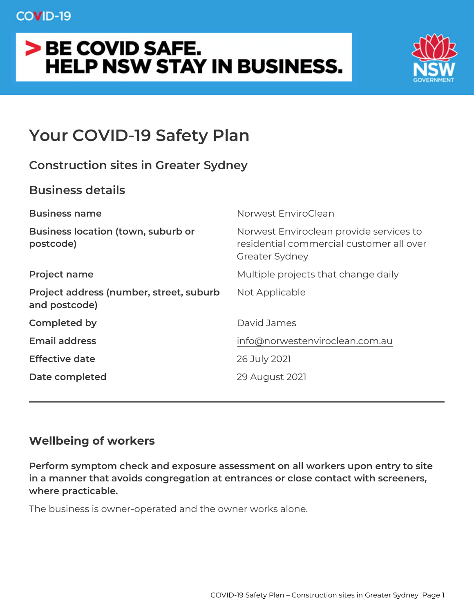# **COVID-19**

# > BE COVID SAFE. **HELP NSW STAY IN BUSINESS.**



# **Your COVID-19 Safety Plan**

# **Construction sites in Greater Sydney**

# **Business details**

| <b>Business name</b>                                     | Norwest EnviroClean                                                                                   |
|----------------------------------------------------------|-------------------------------------------------------------------------------------------------------|
| <b>Business location (town, suburb or</b><br>postcode)   | Norwest Enviroclean provide services to<br>residential commercial customer all over<br>Greater Sydney |
| <b>Project name</b>                                      | Multiple projects that change daily                                                                   |
| Project address (number, street, suburb<br>and postcode) | Not Applicable                                                                                        |
| Completed by                                             | David James                                                                                           |
| <b>Email address</b>                                     | info@norwestenviroclean.com.au                                                                        |
| <b>Effective date</b>                                    | 26 July 2021                                                                                          |
| Date completed                                           | 29 August 2021                                                                                        |
|                                                          |                                                                                                       |

# **Wellbeing of workers**

**Perform symptom check and exposure assessment on all workers upon entry to site in a manner that avoids congregation at entrances or close contact with screeners, where practicable.**

The business is owner-operated and the owner works alone.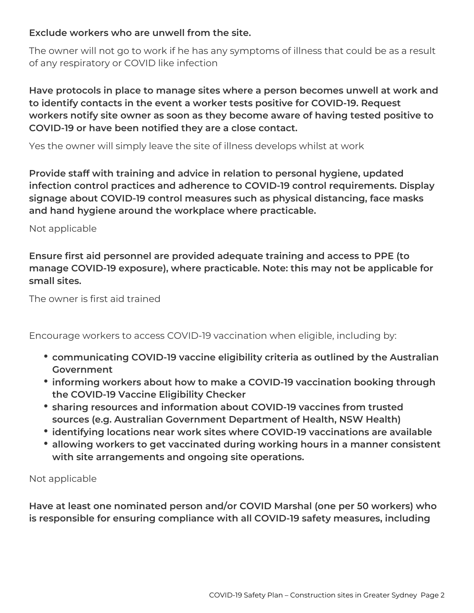### **Exclude workers who are unwell from the site.**

The owner will not go to work if he has any symptoms of illness that could be as a result of any respiratory or COVID like infection

**Have protocols in place to manage sites where a person becomes unwell at work and to identify contacts in the event a worker tests positive for COVID-19. Request workers notify site owner as soon as they become aware of having tested positive to COVID-19 or have been notified they are a close contact.**

Yes the owner will simply leave the site of illness develops whilst at work

**Provide staff with training and advice in relation to personal hygiene, updated infection control practices and adherence to COVID-19 control requirements. Display signage about COVID-19 control measures such as physical distancing, face masks and hand hygiene around the workplace where practicable.**

Not applicable

**Ensure first aid personnel are provided adequate training and access to PPE (to manage COVID-19 exposure), where practicable. Note: this may not be applicable for small sites.**

The owner is first aid trained

Encourage workers to access COVID-19 vaccination when eligible, including by:

- **communicating COVID-19 vaccine eligibility criteria as outlined by the Australian Government**
- **informing workers about how to make a COVID-19 vaccination booking through the COVID-19 Vaccine Eligibility Checker**
- **sharing resources and information about COVID-19 vaccines from trusted sources (e.g. Australian Government Department of Health, NSW Health)**
- **identifying locations near work sites where COVID-19 vaccinations are available**
- **allowing workers to get vaccinated during working hours in a manner consistent with site arrangements and ongoing site operations.**

Not applicable

**Have at least one nominated person and/or COVID Marshal (one per 50 workers) who is responsible for ensuring compliance with all COVID-19 safety measures, including**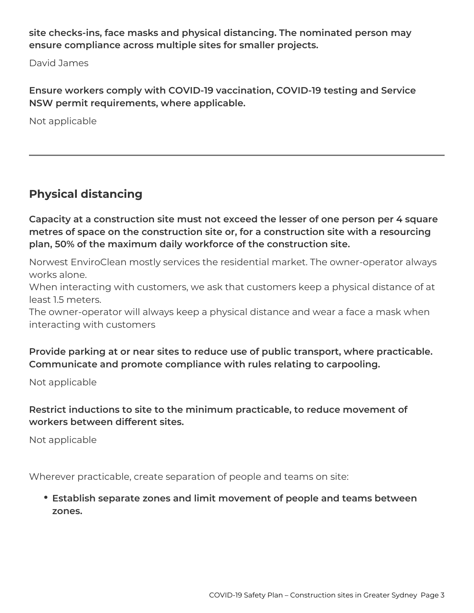**site checks-ins, face masks and physical distancing. The nominated person may ensure compliance across multiple sites for smaller projects.**

David James

**Ensure workers comply with COVID-19 vaccination, COVID-19 testing and Service NSW permit requirements, where applicable.**

Not applicable

# **Physical distancing**

**Capacity at a construction site must not exceed the lesser of one person per 4 square metres of space on the construction site or, for a construction site with a resourcing plan, 50% of the maximum daily workforce of the construction site.**

Norwest EnviroClean mostly services the residential market. The owner-operator always works alone.

When interacting with customers, we ask that customers keep a physical distance of at least 1.5 meters.

The owner-operator will always keep a physical distance and wear a face a mask when interacting with customers

## **Provide parking at or near sites to reduce use of public transport, where practicable. Communicate and promote compliance with rules relating to carpooling.**

Not applicable

## **Restrict inductions to site to the minimum practicable, to reduce movement of workers between different sites.**

Not applicable

Wherever practicable, create separation of people and teams on site:

**Establish separate zones and limit movement of people and teams between zones.**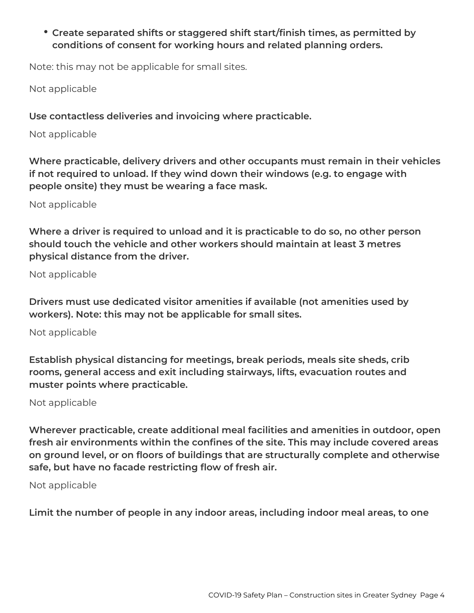**Create separated shifts or staggered shift start/finish times, as permitted by conditions of consent for working hours and related planning orders.**

Note: this may not be applicable for small sites.

Not applicable

**Use contactless deliveries and invoicing where practicable.**

Not applicable

**Where practicable, delivery drivers and other occupants must remain in their vehicles if not required to unload. If they wind down their windows (e.g. to engage with people onsite) they must be wearing a face mask.**

Not applicable

**Where a driver is required to unload and it is practicable to do so, no other person should touch the vehicle and other workers should maintain at least 3 metres physical distance from the driver.**

Not applicable

**Drivers must use dedicated visitor amenities if available (not amenities used by workers). Note: this may not be applicable for small sites.**

Not applicable

**Establish physical distancing for meetings, break periods, meals site sheds, crib rooms, general access and exit including stairways, lifts, evacuation routes and muster points where practicable.**

Not applicable

**Wherever practicable, create additional meal facilities and amenities in outdoor, open fresh air environments within the confines of the site. This may include covered areas on ground level, or on floors of buildings that are structurally complete and otherwise safe, but have no facade restricting flow of fresh air.**

Not applicable

**Limit the number of people in any indoor areas, including indoor meal areas, to one**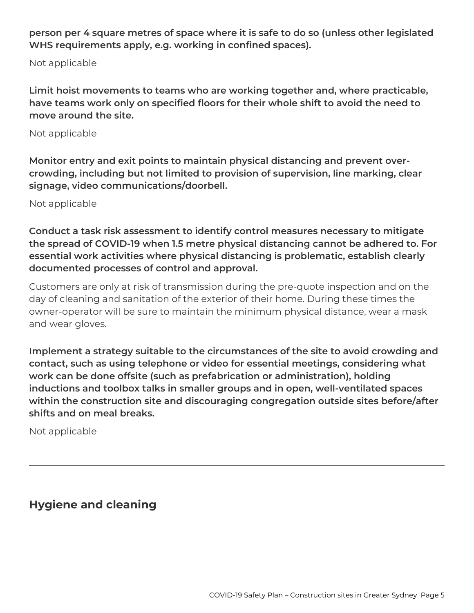**person per 4 square metres of space where it is safe to do so (unless other legislated WHS requirements apply, e.g. working in confined spaces).**

Not applicable

**Limit hoist movements to teams who are working together and, where practicable, have teams work only on specified floors for their whole shift to avoid the need to move around the site.**

#### Not applicable

**Monitor entry and exit points to maintain physical distancing and prevent overcrowding, including but not limited to provision of supervision, line marking, clear signage, video communications/doorbell.**

Not applicable

**Conduct a task risk assessment to identify control measures necessary to mitigate the spread of COVID-19 when 1.5 metre physical distancing cannot be adhered to. For essential work activities where physical distancing is problematic, establish clearly documented processes of control and approval.**

Customers are only at risk of transmission during the pre-quote inspection and on the day of cleaning and sanitation of the exterior of their home. During these times the owner-operator will be sure to maintain the minimum physical distance, wear a mask and wear gloves.

**Implement a strategy suitable to the circumstances of the site to avoid crowding and contact, such as using telephone or video for essential meetings, considering what work can be done offsite (such as prefabrication or administration), holding inductions and toolbox talks in smaller groups and in open, well-ventilated spaces within the construction site and discouraging congregation outside sites before/after shifts and on meal breaks.**

Not applicable

**Hygiene and cleaning**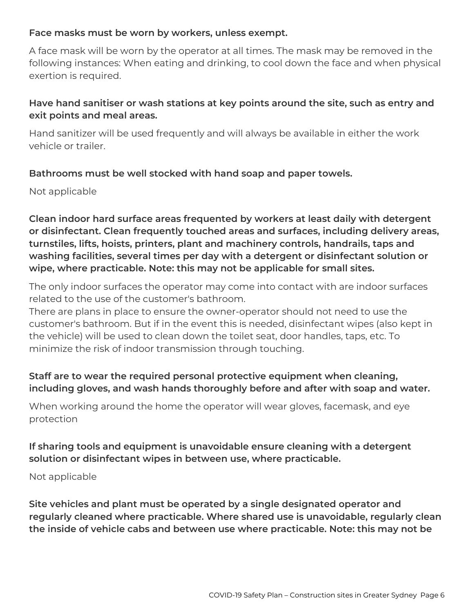#### **Face masks must be worn by workers, unless exempt.**

A face mask will be worn by the operator at all times. The mask may be removed in the following instances: When eating and drinking, to cool down the face and when physical exertion is required.

## **Have hand sanitiser or wash stations at key points around the site, such as entry and exit points and meal areas.**

Hand sanitizer will be used frequently and will always be available in either the work vehicle or trailer.

### **Bathrooms must be well stocked with hand soap and paper towels.**

Not applicable

**Clean indoor hard surface areas frequented by workers at least daily with detergent or disinfectant. Clean frequently touched areas and surfaces, including delivery areas, turnstiles, lifts, hoists, printers, plant and machinery controls, handrails, taps and washing facilities, several times per day with a detergent or disinfectant solution or wipe, where practicable. Note: this may not be applicable for small sites.**

The only indoor surfaces the operator may come into contact with are indoor surfaces related to the use of the customer's bathroom.

There are plans in place to ensure the owner-operator should not need to use the customer's bathroom. But if in the event this is needed, disinfectant wipes (also kept in the vehicle) will be used to clean down the toilet seat, door handles, taps, etc. To minimize the risk of indoor transmission through touching.

## **Staff are to wear the required personal protective equipment when cleaning, including gloves, and wash hands thoroughly before and after with soap and water.**

When working around the home the operator will wear gloves, facemask, and eye protection

## **If sharing tools and equipment is unavoidable ensure cleaning with a detergent solution or disinfectant wipes in between use, where practicable.**

Not applicable

**Site vehicles and plant must be operated by a single designated operator and regularly cleaned where practicable. Where shared use is unavoidable, regularly clean the inside of vehicle cabs and between use where practicable. Note: this may not be**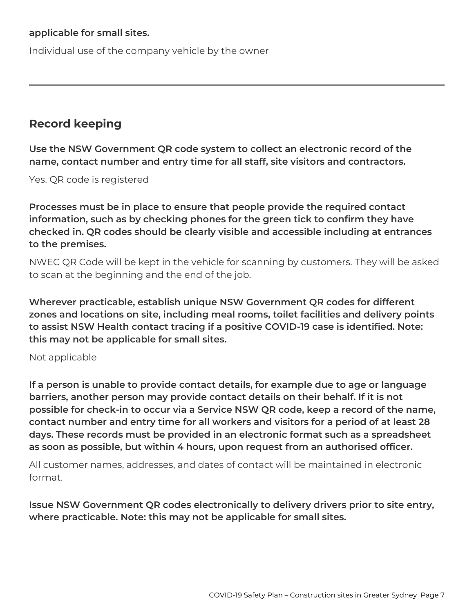#### **applicable for small sites.**

Individual use of the company vehicle by the owner

# **Record keeping**

**Use the NSW Government QR code system to collect an electronic record of the name, contact number and entry time for all staff, site visitors and contractors.**

Yes. QR code is registered

**Processes must be in place to ensure that people provide the required contact information, such as by checking phones for the green tick to confirm they have checked in. QR codes should be clearly visible and accessible including at entrances to the premises.**

NWEC QR Code will be kept in the vehicle for scanning by customers. They will be asked to scan at the beginning and the end of the job.

**Wherever practicable, establish unique NSW Government QR codes for different zones and locations on site, including meal rooms, toilet facilities and delivery points to assist NSW Health contact tracing if a positive COVID-19 case is identified. Note: this may not be applicable for small sites.**

#### Not applicable

**If a person is unable to provide contact details, for example due to age or language barriers, another person may provide contact details on their behalf. If it is not possible for check-in to occur via a Service NSW QR code, keep a record of the name, contact number and entry time for all workers and visitors for a period of at least 28 days. These records must be provided in an electronic format such as a spreadsheet as soon as possible, but within 4 hours, upon request from an authorised officer.**

All customer names, addresses, and dates of contact will be maintained in electronic format.

**Issue NSW Government QR codes electronically to delivery drivers prior to site entry, where practicable. Note: this may not be applicable for small sites.**